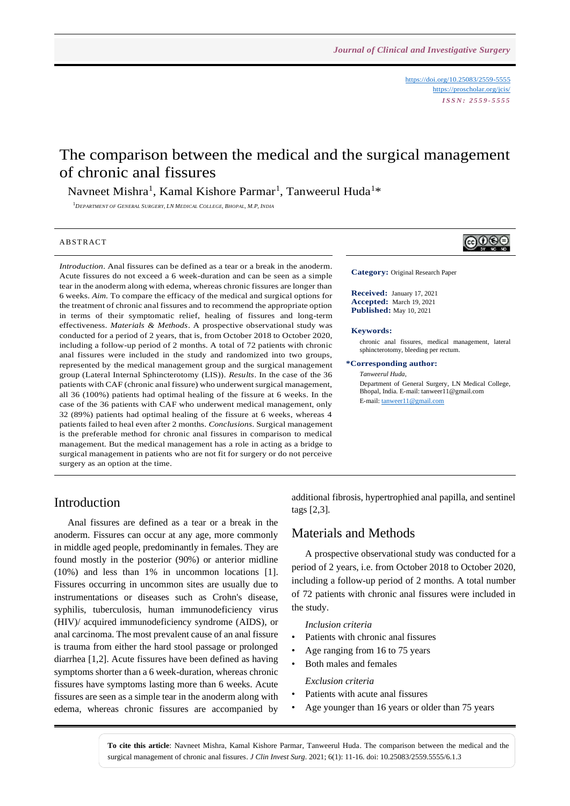<https://doi.org/10.25083/2559-5555> <https://proscholar.org/jcis/> *I S S N : 2 5 5 9 - 5 5 5 5*

# The comparison between the medical and the surgical management of chronic anal fissures

Navneet Mishra<sup>1</sup>, Kamal Kishore Parmar<sup>1</sup>, Tanweerul Huda<sup>1</sup>\*

<sup>1</sup>*DEPARTMENT OF GENERAL SURGERY, LN MEDICAL COLLEGE, BHOPAL, M.P, INDIA*

#### **ABSTRACT**

*Introduction*. Anal fissures can be defined as a tear or a break in the anoderm. Acute fissures do not exceed a 6 week-duration and can be seen as a simple tear in the anoderm along with edema, whereas chronic fissures are longer than 6 weeks. *Aim.* To compare the efficacy of the medical and surgical options for the treatment of chronic anal fissures and to recommend the appropriate option in terms of their symptomatic relief, healing of fissures and long-term effectiveness. *Materials & Methods*. A prospective observational study was conducted for a period of 2 years, that is, from October 2018 to October 2020, including a follow-up period of 2 months. A total of 72 patients with chronic anal fissures were included in the study and randomized into two groups, represented by the medical management group and the surgical management group (Lateral Internal Sphincterotomy (LIS)). *Results*. In the case of the 36 patients with CAF (chronic anal fissure) who underwent surgical management, all 36 (100%) patients had optimal healing of the fissure at 6 weeks. In the case of the 36 patients with CAF who underwent medical management, only 32 (89%) patients had optimal healing of the fissure at 6 weeks, whereas 4 patients failed to heal even after 2 months. *Conclusions*. Surgical management is the preferable method for chronic anal fissures in comparison to medical management. But the medical management has a role in acting as a bridge to surgical management in patients who are not fit for surgery or do not perceive surgery as an option at the time.



**Category:** Original Research Paper

**Received:** January 17, 2021 **Accepted:** March 19, 2021 **Published:** May 10, 2021

#### **Keywords:**

chronic anal fissures, medical management, lateral sphincterotomy, bleeding per rectum.

**\*Corresponding author:**

*Tanweerul Huda*, Department of General Surgery, LN Medical College, Bhopal, India. E-mail: tanweer11@gmail.com E-mail[: tanweer11@gmail.com](mailto:tanweer11@gmail.com)

### Introduction

Anal fissures are defined as a tear or a break in the anoderm. Fissures can occur at any age, more commonly in middle aged people, predominantly in females. They are found mostly in the posterior (90%) or anterior midline (10%) and less than 1% in uncommon locations [1]. Fissures occurring in uncommon sites are usually due to instrumentations or diseases such as Crohn's disease, syphilis, tuberculosis, human immunodeficiency virus (HIV)/ acquired immunodeficiency syndrome (AIDS), or anal carcinoma. The most prevalent cause of an anal fissure is trauma from either the hard stool passage or prolonged diarrhea [1,2]. Acute fissures have been defined as having symptoms shorter than a 6 week-duration, whereas chronic fissures have symptoms lasting more than 6 weeks. Acute fissures are seen as a simple tear in the anoderm along with edema, whereas chronic fissures are accompanied by additional fibrosis, hypertrophied anal papilla, and sentinel tags [2,3].

### Materials and Methods

A prospective observational study was conducted for a period of 2 years, i.e. from October 2018 to October 2020, including a follow-up period of 2 months. A total number of 72 patients with chronic anal fissures were included in the study.

#### *Inclusion criteria*

- Patients with chronic anal fissures
- Age ranging from 16 to 75 years
- Both males and females

#### *Exclusion criteria*

- Patients with acute anal fissures
- Age younger than 16 years or older than 75 years

**To cite this article**: Navneet Mishra, Kamal Kishore Parmar, Tanweerul Huda. The comparison between the medical and the surgical management of chronic anal fissures. *J Clin Invest Surg*. 2021; 6(1): 11-16. doi: 10.25083/2559.5555/6.1.3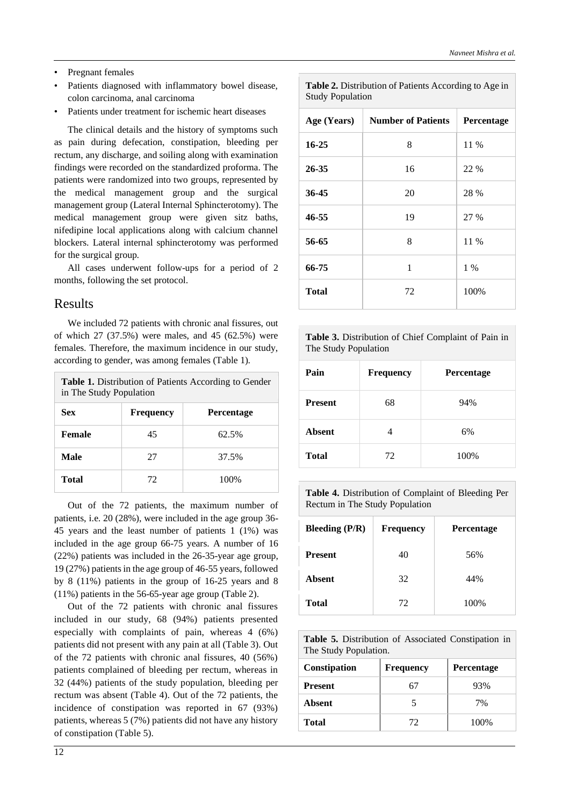- Pregnant females
- Patients diagnosed with inflammatory bowel disease, colon carcinoma, anal carcinoma
- Patients under treatment for ischemic heart diseases

The clinical details and the history of symptoms such as pain during defecation, constipation, bleeding per rectum, any discharge, and soiling along with examination findings were recorded on the standardized proforma. The patients were randomized into two groups, represented by the medical management group and the surgical management group (Lateral Internal Sphincterotomy). The medical management group were given sitz baths, nifedipine local applications along with calcium channel blockers. Lateral internal sphincterotomy was performed for the surgical group.

All cases underwent follow-ups for a period of 2 months, following the set protocol.

### Results

We included 72 patients with chronic anal fissures, out of which 27 (37.5%) were males, and 45 (62.5%) were females. Therefore, the maximum incidence in our study, according to gender, was among females (Table 1).

| <b>Table 1.</b> Distribution of Patients According to Gender |  |
|--------------------------------------------------------------|--|
| in The Study Population                                      |  |

| <b>Sex</b>   | <b>Frequency</b> | <b>Percentage</b> |
|--------------|------------------|-------------------|
| Female       | 45               | 62.5%             |
| Male         | 27               | 37.5%             |
| <b>Total</b> | 72               | 100%              |

Out of the 72 patients, the maximum number of patients, i.e. 20 (28%), were included in the age group 36- 45 years and the least number of patients 1 (1%) was included in the age group 66-75 years. A number of 16 (22%) patients was included in the 26-35-year age group, 19 (27%) patients in the age group of 46-55 years, followed by 8 (11%) patients in the group of 16-25 years and 8 (11%) patients in the 56-65-year age group (Table 2).

Out of the 72 patients with chronic anal fissures included in our study, 68 (94%) patients presented especially with complaints of pain, whereas 4 (6%) patients did not present with any pain at all (Table 3). Out of the 72 patients with chronic anal fissures, 40 (56%) patients complained of bleeding per rectum, whereas in 32 (44%) patients of the study population, bleeding per rectum was absent (Table 4). Out of the 72 patients, the incidence of constipation was reported in 67 (93%) patients, whereas 5 (7%) patients did not have any history of constipation (Table 5).

**Table 2.** Distribution of Patients According to Age in Study Population

| Age (Years)  | <b>Number of Patients</b> | Percentage |
|--------------|---------------------------|------------|
| $16 - 25$    | 8                         | 11 %       |
| 26-35        | 16                        | 22 %       |
| 36-45        | 20                        | 28 %       |
| 46-55        | 19                        | 27 %       |
| 56-65        | 8                         | 11 %       |
| 66-75        | 1                         | 1 %        |
| <b>Total</b> | 72                        | 100%       |

**Table 3.** Distribution of Chief Complaint of Pain in The Study Population

| Pain           | Frequency | Percentage |
|----------------|-----------|------------|
| <b>Present</b> | 68        | 94%        |
| <b>Absent</b>  |           | 6%         |
| <b>Total</b>   | 72        | 100%       |

**Table 4.** Distribution of Complaint of Bleeding Per Rectum in The Study Population

| Bleeding $(P/R)$ | <b>Frequency</b> | <b>Percentage</b> |
|------------------|------------------|-------------------|
| <b>Present</b>   | 40               | 56%               |
| <b>Absent</b>    | 32               | 44%               |
| <b>Total</b>     | 72               | 100%              |

**Table 5.** Distribution of Associated Constipation in The Study Population.

| Constipation   | <b>Frequency</b> | <b>Percentage</b> |
|----------------|------------------|-------------------|
| <b>Present</b> |                  | 93%               |
| Absent         |                  | 7%                |
| Total          | - 12             | 100%              |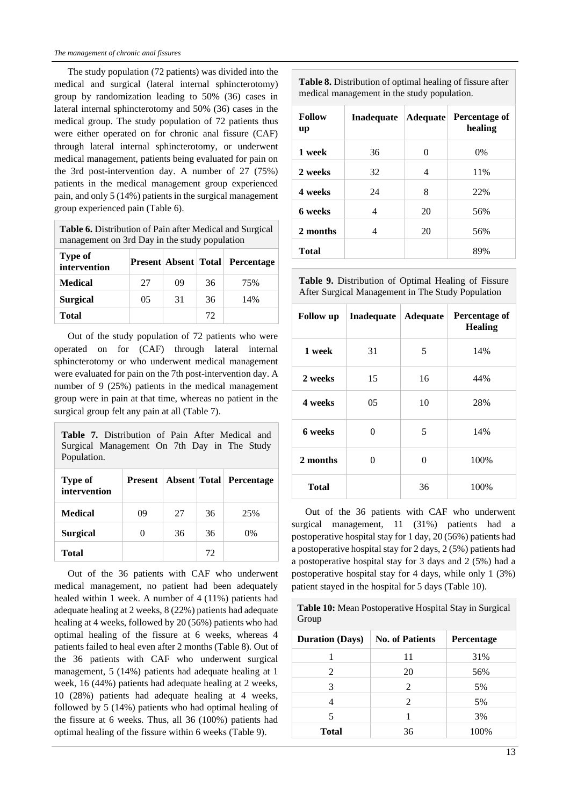The study population (72 patients) was divided into the medical and surgical (lateral internal sphincterotomy) group by randomization leading to 50% (36) cases in lateral internal sphincterotomy and 50% (36) cases in the medical group. The study population of 72 patients thus were either operated on for chronic anal fissure (CAF) through lateral internal sphincterotomy, or underwent medical management, patients being evaluated for pain on the 3rd post-intervention day. A number of 27 (75%) patients in the medical management group experienced pain, and only 5 (14%) patients in the surgical management group experienced pain (Table 6).

**Table 6.** Distribution of Pain after Medical and Surgical management on 3rd Day in the study population

| <b>Type of</b><br>intervention |    |    |    | <b>Present Absent Total Percentage</b> |
|--------------------------------|----|----|----|----------------------------------------|
| <b>Medical</b>                 | 27 | 09 | 36 | 75%                                    |
| <b>Surgical</b>                | 05 | 31 | 36 | 14%                                    |
| Total                          |    |    | 72 |                                        |

Out of the study population of 72 patients who were operated on for (CAF) through lateral internal sphincterotomy or who underwent medical management were evaluated for pain on the 7th post-intervention day. A number of 9 (25%) patients in the medical management group were in pain at that time, whereas no patient in the surgical group felt any pain at all (Table 7).

| <b>Table 7.</b> Distribution of Pain After Medical and<br>Surgical Management On 7th Day in The Study<br>Population. |    |    |    |                                              |
|----------------------------------------------------------------------------------------------------------------------|----|----|----|----------------------------------------------|
| Type of<br>intervention                                                                                              |    |    |    | <b>Present   Absent   Total   Percentage</b> |
| Medical                                                                                                              | 09 | 27 | 36 | 25%                                          |
| <b>Surgical</b>                                                                                                      |    | 36 | 36 | 0%                                           |
| Total                                                                                                                |    |    | 72 |                                              |

Out of the 36 patients with CAF who underwent medical management, no patient had been adequately healed within 1 week. A number of 4 (11%) patients had adequate healing at 2 weeks, 8 (22%) patients had adequate healing at 4 weeks, followed by 20 (56%) patients who had optimal healing of the fissure at 6 weeks, whereas 4 patients failed to heal even after 2 months (Table 8). Out of the 36 patients with CAF who underwent surgical management, 5 (14%) patients had adequate healing at 1 week, 16 (44%) patients had adequate healing at 2 weeks, 10 (28%) patients had adequate healing at 4 weeks, followed by 5 (14%) patients who had optimal healing of the fissure at 6 weeks. Thus, all 36 (100%) patients had optimal healing of the fissure within 6 weeks (Table 9).

**Table 8.** Distribution of optimal healing of fissure after medical management in the study population.

| <b>Follow</b><br>up | Inadequate | <b>Adequate</b> | Percentage of<br>healing |
|---------------------|------------|-----------------|--------------------------|
| 1 week              | 36         | 0               | $0\%$                    |
| 2 weeks             | 32         | 4               | 11%                      |
| 4 weeks             | 24         | 8               | 22%                      |
| 6 weeks             | 4          | 20              | 56%                      |
| 2 months            | 4          | 20              | 56%                      |
| <b>Total</b>        |            |                 | 89%                      |

**Table 9.** Distribution of Optimal Healing of Fissure After Surgical Management in The Study Population

| <b>Follow</b> up | Inadequate   Adequate |    | Percentage of<br><b>Healing</b> |
|------------------|-----------------------|----|---------------------------------|
| 1 week           | 31                    | 5  | 14%                             |
| 2 weeks          | 15                    | 16 | 44%                             |
| 4 weeks          | 05                    | 10 | 28%                             |
| 6 weeks          | 0                     | 5  | 14%                             |
| 2 months         | $\Omega$              | 0  | 100%                            |
| Total            |                       | 36 | 100%                            |

Out of the 36 patients with CAF who underwent surgical management, 11 (31%) patients had a postoperative hospital stay for 1 day, 20 (56%) patients had a postoperative hospital stay for 2 days, 2 (5%) patients had a postoperative hospital stay for 3 days and 2 (5%) had a postoperative hospital stay for 4 days, while only 1 (3%) patient stayed in the hospital for 5 days (Table 10).

**Table 10:** Mean Postoperative Hospital Stay in Surgical Group

| <b>Duration (Days)</b> | <b>No. of Patients</b> | <b>Percentage</b> |
|------------------------|------------------------|-------------------|
|                        | 11                     | 31%               |
| 2                      | 20                     | 56%               |
| 3                      | $\mathfrak{D}$         | 5%                |
|                        | 2                      | 5%                |
|                        |                        | 3%                |
| <b>Total</b>           | 36                     | 100%              |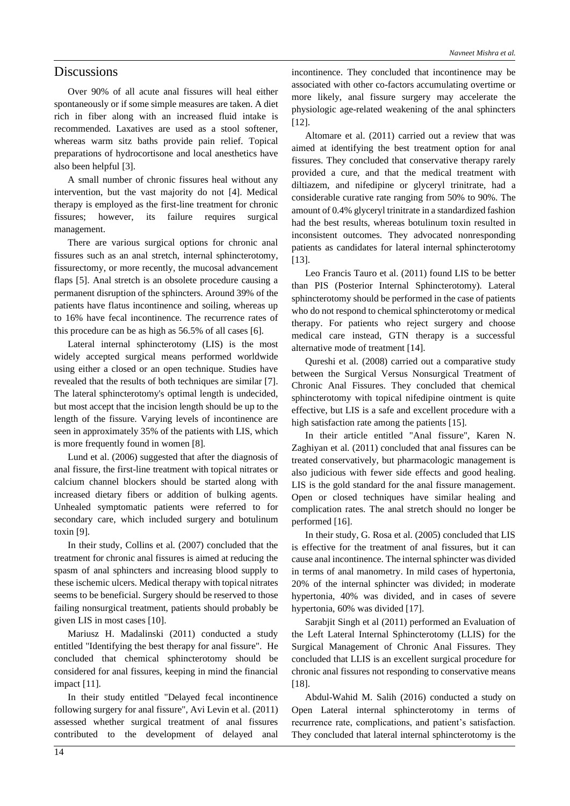### **Discussions**

Over 90% of all acute anal fissures will heal either spontaneously or if some simple measures are taken. A diet rich in fiber along with an increased fluid intake is recommended. Laxatives are used as a stool softener, whereas warm sitz baths provide pain relief. Topical preparations of hydrocortisone and local anesthetics have also been helpful [3].

A small number of chronic fissures heal without any intervention, but the vast majority do not [4]. Medical therapy is employed as the first-line treatment for chronic fissures; however, its failure requires surgical management.

There are various surgical options for chronic anal fissures such as an anal stretch, internal sphincterotomy, fissurectomy, or more recently, the mucosal advancement flaps [5]. Anal stretch is an obsolete procedure causing a permanent disruption of the sphincters. Around 39% of the patients have flatus incontinence and soiling, whereas up to 16% have fecal incontinence. The recurrence rates of this procedure can be as high as 56.5% of all cases [6].

Lateral internal sphincterotomy (LIS) is the most widely accepted surgical means performed worldwide using either a closed or an open technique. Studies have revealed that the results of both techniques are similar [7]. The lateral sphincterotomy's optimal length is undecided, but most accept that the incision length should be up to the length of the fissure. Varying levels of incontinence are seen in approximately 35% of the patients with LIS, which is more frequently found in women [8].

Lund et al. (2006) suggested that after the diagnosis of anal fissure, the first-line treatment with topical nitrates or calcium channel blockers should be started along with increased dietary fibers or addition of bulking agents. Unhealed symptomatic patients were referred to for secondary care, which included surgery and botulinum toxin [9].

In their study, Collins et al. (2007) concluded that the treatment for chronic anal fissures is aimed at reducing the spasm of anal sphincters and increasing blood supply to these ischemic ulcers. Medical therapy with topical nitrates seems to be beneficial. Surgery should be reserved to those failing nonsurgical treatment, patients should probably be given LIS in most cases [10].

Mariusz H. Madalinski (2011) conducted a study entitled "Identifying the best therapy for anal fissure". He concluded that chemical sphincterotomy should be considered for anal fissures, keeping in mind the financial impact [11].

In their study entitled "Delayed fecal incontinence following surgery for anal fissure", Avi Levin et al. (2011) assessed whether surgical treatment of anal fissures contributed to the development of delayed anal incontinence. They concluded that incontinence may be associated with other co-factors accumulating overtime or more likely, anal fissure surgery may accelerate the physiologic age-related weakening of the anal sphincters [12].

Altomare et al. (2011) carried out a review that was aimed at identifying the best treatment option for anal fissures. They concluded that conservative therapy rarely provided a cure, and that the medical treatment with diltiazem, and nifedipine or glyceryl trinitrate, had a considerable curative rate ranging from 50% to 90%. The amount of 0.4% glyceryl trinitrate in a standardized fashion had the best results, whereas botulinum toxin resulted in inconsistent outcomes. They advocated nonresponding patients as candidates for lateral internal sphincterotomy [13].

Leo Francis Tauro et al. (2011) found LIS to be better than PIS (Posterior Internal Sphincterotomy). Lateral sphincterotomy should be performed in the case of patients who do not respond to chemical sphincterotomy or medical therapy. For patients who reject surgery and choose medical care instead, GTN therapy is a successful alternative mode of treatment [14].

Qureshi et al. (2008) carried out a comparative study between the Surgical Versus Nonsurgical Treatment of Chronic Anal Fissures. They concluded that chemical sphincterotomy with topical nifedipine ointment is quite effective, but LIS is a safe and excellent procedure with a high satisfaction rate among the patients [15].

In their article entitled "Anal fissure", Karen N. Zaghiyan et al. (2011) concluded that anal fissures can be treated conservatively, but pharmacologic management is also judicious with fewer side effects and good healing. LIS is the gold standard for the anal fissure management. Open or closed techniques have similar healing and complication rates. The anal stretch should no longer be performed [16].

In their study, G. Rosa et al. (2005) concluded that LIS is effective for the treatment of anal fissures, but it can cause anal incontinence. The internal sphincter was divided in terms of anal manometry. In mild cases of hypertonia, 20% of the internal sphincter was divided; in moderate hypertonia, 40% was divided, and in cases of severe hypertonia, 60% was divided [17].

Sarabjit Singh et al (2011) performed an Evaluation of the Left Lateral Internal Sphincterotomy (LLIS) for the Surgical Management of Chronic Anal Fissures. They concluded that LLIS is an excellent surgical procedure for chronic anal fissures not responding to conservative means [18].

Abdul-Wahid M. Salih (2016) conducted a study on Open Lateral internal sphincterotomy in terms of recurrence rate, complications, and patient's satisfaction. They concluded that lateral internal sphincterotomy is the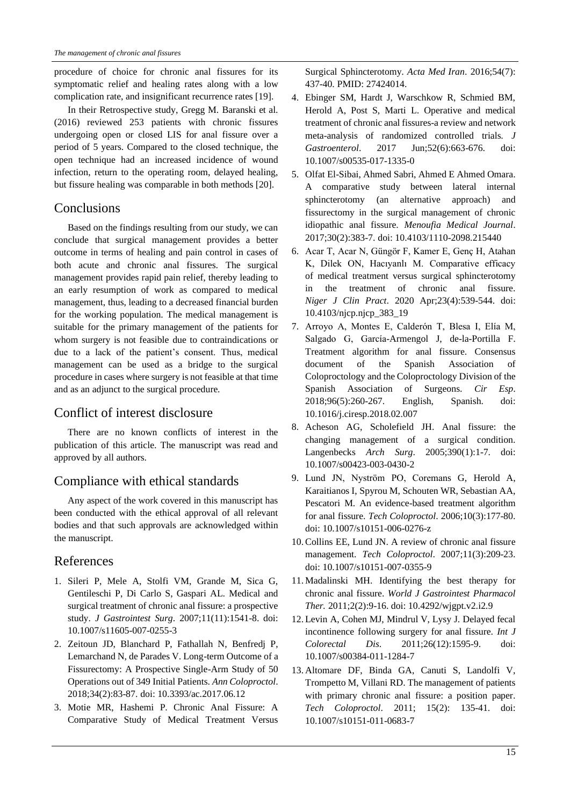procedure of choice for chronic anal fissures for its symptomatic relief and healing rates along with a low complication rate, and insignificant recurrence rates [19].

In their Retrospective study, Gregg M. Baranski et al. (2016) reviewed 253 patients with chronic fissures undergoing open or closed LIS for anal fissure over a period of 5 years. Compared to the closed technique, the open technique had an increased incidence of wound infection, return to the operating room, delayed healing, but fissure healing was comparable in both methods [20].

# **Conclusions**

Based on the findings resulting from our study, we can conclude that surgical management provides a better outcome in terms of healing and pain control in cases of both acute and chronic anal fissures. The surgical management provides rapid pain relief, thereby leading to an early resumption of work as compared to medical management, thus, leading to a decreased financial burden for the working population. The medical management is suitable for the primary management of the patients for whom surgery is not feasible due to contraindications or due to a lack of the patient's consent. Thus, medical management can be used as a bridge to the surgical procedure in cases where surgery is not feasible at that time and as an adjunct to the surgical procedure.

# Conflict of interest disclosure

There are no known conflicts of interest in the publication of this article. The manuscript was read and approved by all authors.

# Compliance with ethical standards

Any aspect of the work covered in this manuscript has been conducted with the ethical approval of all relevant bodies and that such approvals are acknowledged within the manuscript.

# References

- 1. Sileri P, Mele A, Stolfi VM, Grande M, Sica G, Gentileschi P, Di Carlo S, Gaspari AL. Medical and surgical treatment of chronic anal fissure: a prospective study. *J Gastrointest Surg*. 2007;11(11):1541-8. doi: 10.1007/s11605-007-0255-3
- 2. Zeitoun JD, Blanchard P, Fathallah N, Benfredj P, Lemarchand N, de Parades V. Long-term Outcome of a Fissurectomy: A Prospective Single-Arm Study of 50 Operations out of 349 Initial Patients. *Ann Coloproctol*. 2018;34(2):83-87. doi: 10.3393/ac.2017.06.12
- 3. Motie MR, Hashemi P. Chronic Anal Fissure: A Comparative Study of Medical Treatment Versus

Surgical Sphincterotomy. *Acta Med Iran*. 2016;54(7): 437-40. PMID: 27424014.

- 4. Ebinger SM, Hardt J, Warschkow R, Schmied BM, Herold A, Post S, Marti L. Operative and medical treatment of chronic anal fissures-a review and network meta-analysis of randomized controlled trials. *J Gastroenterol*. 2017 Jun;52(6):663-676. doi: 10.1007/s00535-017-1335-0
- 5. Olfat El-Sibai, Ahmed Sabri, Ahmed E Ahmed Omara. A comparative study between lateral internal sphincterotomy (an alternative approach) and fissurectomy in the surgical management of chronic idiopathic anal fissure. *Menoufia Medical Journal*. 2017;30(2):383-7. doi: 10.4103/1110-2098.215440
- 6. Acar T, Acar N, Güngör F, Kamer E, Genç H, Atahan K, Dilek ON, Hacıyanlı M. Comparative efficacy of medical treatment versus surgical sphincterotomy in the treatment of chronic anal fissure. *Niger J Clin Pract*. 2020 Apr;23(4):539-544. doi: 10.4103/njcp.njcp\_383\_19
- 7. Arroyo A, Montes E, Calderón T, Blesa I, Elía M, Salgado G, García-Armengol J, de-la-Portilla F. Treatment algorithm for anal fissure. Consensus document of the Spanish Association of Coloproctology and the Coloproctology Division of the Spanish Association of Surgeons. *Cir Esp*. 2018;96(5):260-267. English, Spanish. doi: 10.1016/j.ciresp.2018.02.007
- 8. Acheson AG, Scholefield JH. Anal fissure: the changing management of a surgical condition. Langenbecks *Arch Surg*. 2005;390(1):1-7. doi: 10.1007/s00423-003-0430-2
- 9. Lund JN, Nyström PO, Coremans G, Herold A, Karaitianos I, Spyrou M, Schouten WR, Sebastian AA, Pescatori M. An evidence-based treatment algorithm for anal fissure. *Tech Coloproctol*. 2006;10(3):177-80. doi: 10.1007/s10151-006-0276-z
- 10. Collins EE, Lund JN. A review of chronic anal fissure management. *Tech Coloproctol*. 2007;11(3):209-23. doi: 10.1007/s10151-007-0355-9
- 11. Madalinski MH. Identifying the best therapy for chronic anal fissure. *World J Gastrointest Pharmacol Ther.* 2011;2(2):9-16. doi: 10.4292/wjgpt.v2.i2.9
- 12. Levin A, Cohen MJ, Mindrul V, Lysy J. Delayed fecal incontinence following surgery for anal fissure. *Int J Colorectal Dis*. 2011;26(12):1595-9. doi: 10.1007/s00384-011-1284-7
- 13. Altomare DF, Binda GA, Canuti S, Landolfi V, Trompetto M, Villani RD. The management of patients with primary chronic anal fissure: a position paper. *Tech Coloproctol*. 2011; 15(2): 135-41. doi: 10.1007/s10151-011-0683-7